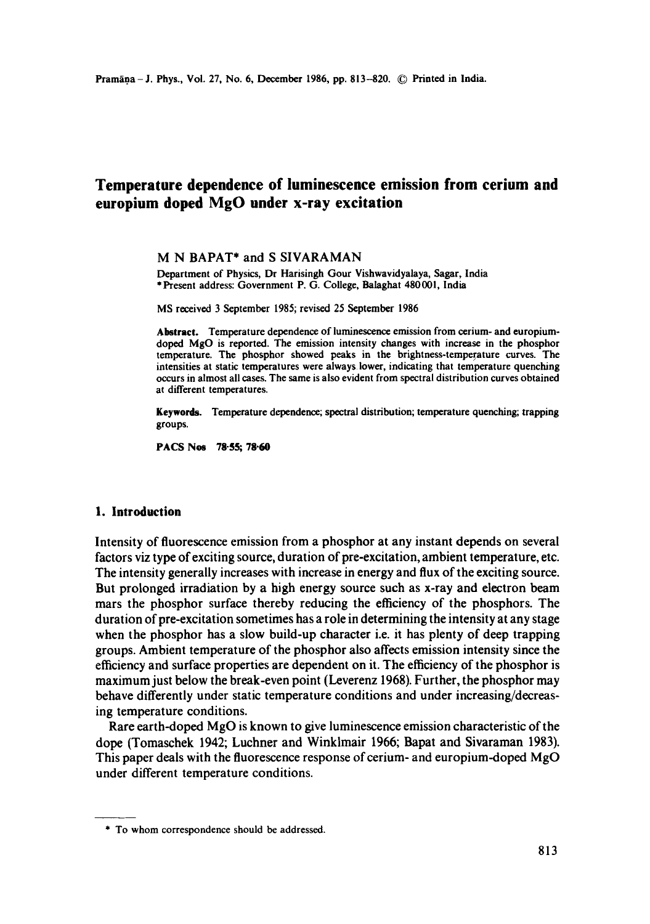# **Temperature dependence of luminescence emission from cerium and europium doped MgO under x-ray excitation**

M N BAPAT\* and S SIVARAMAN

Department of Physics, Dr Harisingh Gour Vishwavidyalaya, Sagar, India \*Present address: Government P. G. College, Balaghat 480001, India

MS received 3 September 1985; revised 25 September 1986

**Abstract.** Temperature dependence of luminescence emission from cerium- and europiumdoped MgO is reported. The emission intensity changes with increase in the phosphor temperature. The phosphor showed peaks in the brightness-temperature curves. The intensities at static temperatures were always lower, indicating that temperature quenching occurs in almost all cases. The same is also evident from spectral distribution curves obtained at different temperatures.

**Keywords.** Temperature dependence; spectral distribution; temperature quenching; trapping groups.

**PACS Nos 78-55; 78-60** 

#### **1. Introduction**

Intensity of fluorescence emission from a phosphor at any instant depends on several factors viz type of exciting source, duration of pre-excitation, ambient temperature, etc. The intensity generally increases with increase in energy and flux of the exciting source. But prolonged irradiation by a high energy source such as x-ray and electron beam mars the phosphor surface thereby reducing the efficiency of the phosphors. The duration of pre-excitation sometimes has a role in determining the intensity at any stage when the phosphor has a slow build-up character i.e. it has plenty of deep trapping groups. Ambient temperature of the phosphor also affects emission intensity since the efficiency and surface properties are dependent on it. The efficiency of the phosphor is maximum just below the break-even point (Leverenz 1968). Further, the phosphor may behave differently under static temperature conditions and under increasing/decreasing temperature conditions.

Rare earth-doped MgO is known to give luminescence emission characteristic of the dope (Tomascbek 1942; Luchner and Winklmair 1966; Bapat and Sivaraman 1983). This paper deals with the fluorescence response of cerium- and europium-doped MgO under different temperature conditions.

<sup>\*</sup> To whom correspondence should be addressed.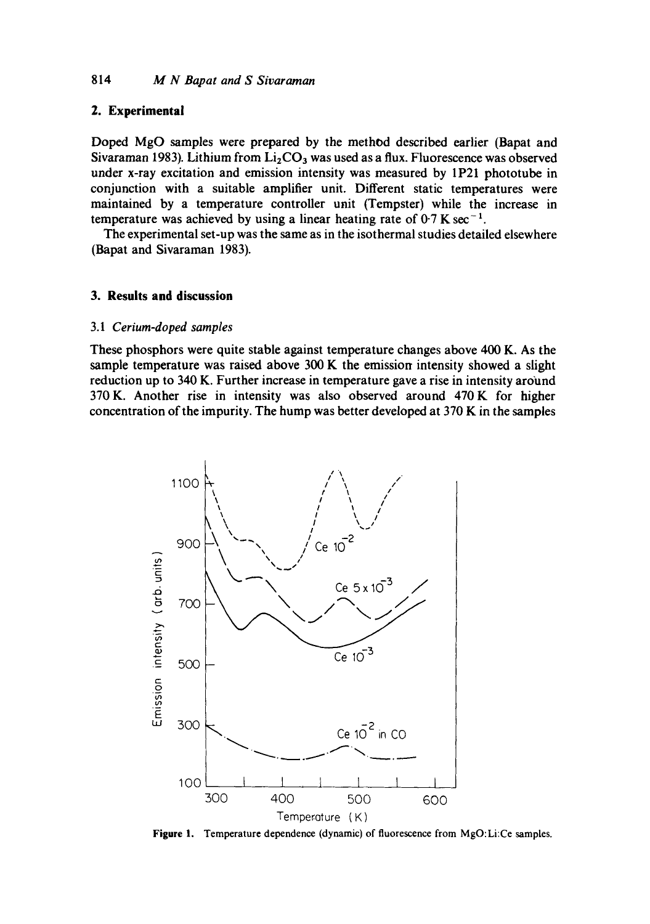#### **2. Experimental**

**Doped MgO samples were prepared by the method described earlier (Bapat and**  Sivaraman 1983). Lithium from  $Li<sub>2</sub>CO<sub>3</sub>$  was used as a flux. Fluorescence was observed **under x-ray excitation and emission intensity was measured by 1P21 phototube in conjunction with a suitable amplifier unit. Different static temperatures were maintained by a temperature controller unit (Tempster) while the increase in**  temperature was achieved by using a linear heating rate of  $0.7$  K sec<sup>-1</sup>.

**The experimental set-up was the same as in the isothermal studies detailed elsewhere (Bapat and Sivaraman 1983).** 

#### **3. Results and discussion**

#### **3.1** *Cerium-doped samples*

**These phosphors were quite stable against temperature changes above 400 K. As the sample temperature was raised above 300 K the emission intensity showed a slight reduction up to 340 K. Further increase in temperature gave a rise in intensity around 370 K. Another rise in intensity was also observed around 470 K for higher concentration of the impurity. The hump was better developed at 370 K in the samples** 



**Figure 1. Temperature dependence (dynamic) of fluorescence from MgO:Li:Ce samples.**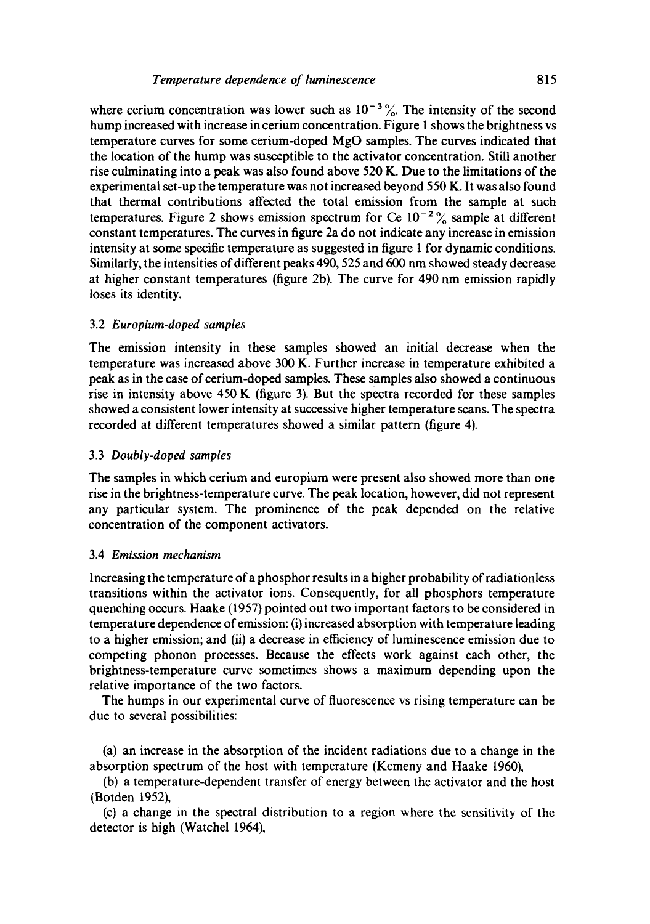where cerium concentration was lower such as  $10^{-3}$ %. The intensity of the second hump increased with increase in cerium concentration. Figure I shows the brightness vs temperature curves for some cerium-doped MgO samples. The curves indicated that the location of the hump was susceptible to the activator concentration. Still another rise culminating into a peak was also found above 520 K. Due to the limitations of the experimental set-up the temperature was not increased beyond 550 K. It was also found that thermal contributions affected the total emission from the sample at such temperatures. Figure 2 shows emission spectrum for Ce  $10^{-2}$ % sample at different constant temperatures. The curves in figure 2a do not indicate any increase in emission intensity at some specific temperature as suggested in figure 1 for dynamic conditions. Similarly, the intensities of different peaks 490, 525 and 600 nm showed steady decrease at higher constant temperatures (figure 2b). The curve for 490 nm emission rapidly loses its identity.

## 3.2 *Europium-doped samples*

The emission intensity in these samples showed an initial decrease when the temperature was increased above 300 K. Further increase in temperature exhibited a peak as in the case of cerium-doped samples. These samples also showed a continuous rise in intensity above 450 K (figure 3). But the spectra recorded for these samples showed a consistent lower intensity at successive higher temperature scans. The spectra recorded at different temperatures showed a similar pattern (figure 4).

## 3.3 *Doubly-doped samples*

The samples in which cerium and europium were present also showed more than one rise in the brightness-temperature curve. The peak location, however, did not represent any particular system. The prominence of the peak depended on the relative concentration of the component activators.

#### 3.4 *Emission mechanism*

Increasing the temperature of a phosphor results in a higher probability of radiationless transitions within the activator ions. Consequently, for all phosphors temperature quenching occurs. Haake (1957) pointed out two important factors to be considered in temperature dependence of emission: (i) increased absorption with temperature leading to a higher emission; and (ii) a decrease in efficiency of luminescence emission due to competing phonon processes. Because the effects work against each other, the brightness-temperature curve sometimes shows a maximum depending upon the relative importance of the two factors.

The humps in our experimental curve of fluorescence vs rising temperature can be due to several possibilities:

(a) an increase in the absorption of the incident radiations due to a change in the absorption spectrum of the host with temperature (Kemeny and Haake 1960),

(b) a temperature-dependent transfer of energy between the activator and the host (Borden 1952),

(c) a change in the spectral distribution to a region where the sensitivity of the detector is high (Watchel 1964),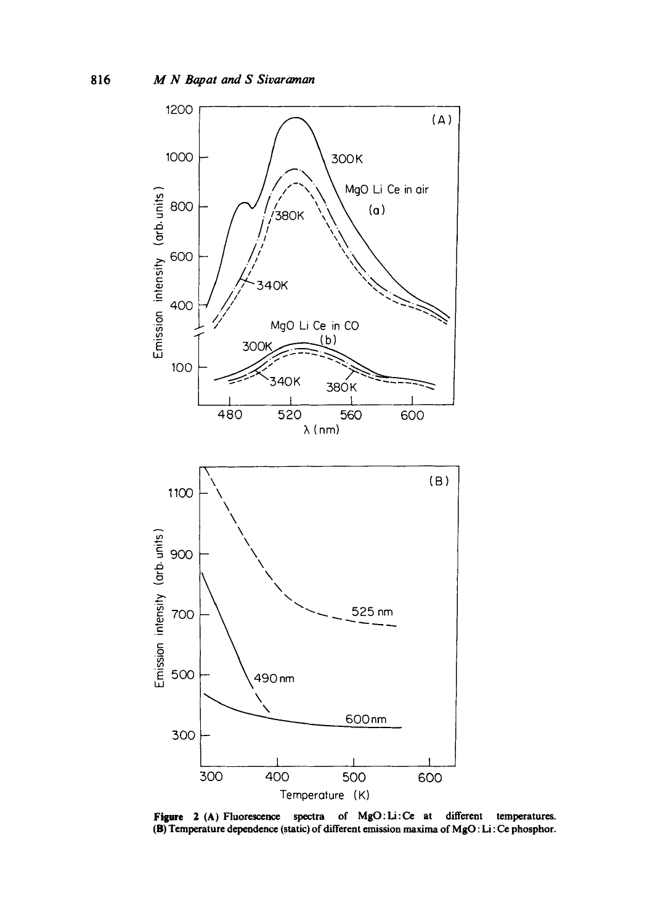

Figure 2 (A) Fluorescence spectra of MgO: Li:Ce at different temperatures. (B) Temperature dependence (static) of different emission maxima of MgO : Li : Ce phosphor.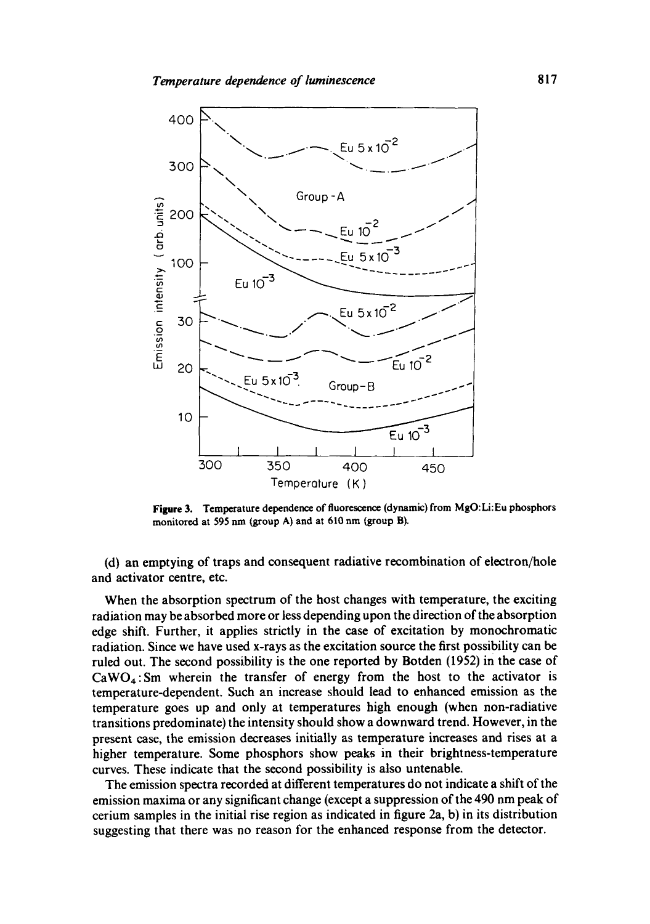

**Figure** 3. Temperature dependence of fluorescence (dynamic) from MgO: **Li: Eu phosphors**  monitored at 595 nm (group A) and at 610 nm (group B).

(d) an emptying of traps and consequent radiative recombination of electron/hole and activator centre, etc.

When the absorption spectrum of the host changes with temperature, the exciting radiation may be absorbed more or less depending upon the direction of the absorption edge shift. Further, it applies strictly in the case of excitation by monochromatic radiation. Since we have used x-rays as the excitation source the first possibility can be ruled out. The second possibility is the one reported by Botden (1952) in the case of  $CaWO<sub>A</sub>$ : Sm wherein the transfer of energy from the host to the activator is temperature-dependent. Such an increase should lead to enhanced emission as the temperature goes up and only at temperatures high enough (when non-radiative transitions predominate) the intensity should show a downward trend. However, in the present case, the emission decreases initially as temperature increases and rises at a higher temperature. Some phosphors show peaks in their brightness-temperature curves. These indicate that the second possibility is also untenable.

The emission spectra recorded at different temperatures do not indicate a shift of the emission maxima or any significant change (except a suppression of the 490 nm peak of cerium samples in the initial rise region as indicated in figure 2a, b) in its distribution suggesting that there was no reason for the enhanced response from the detector.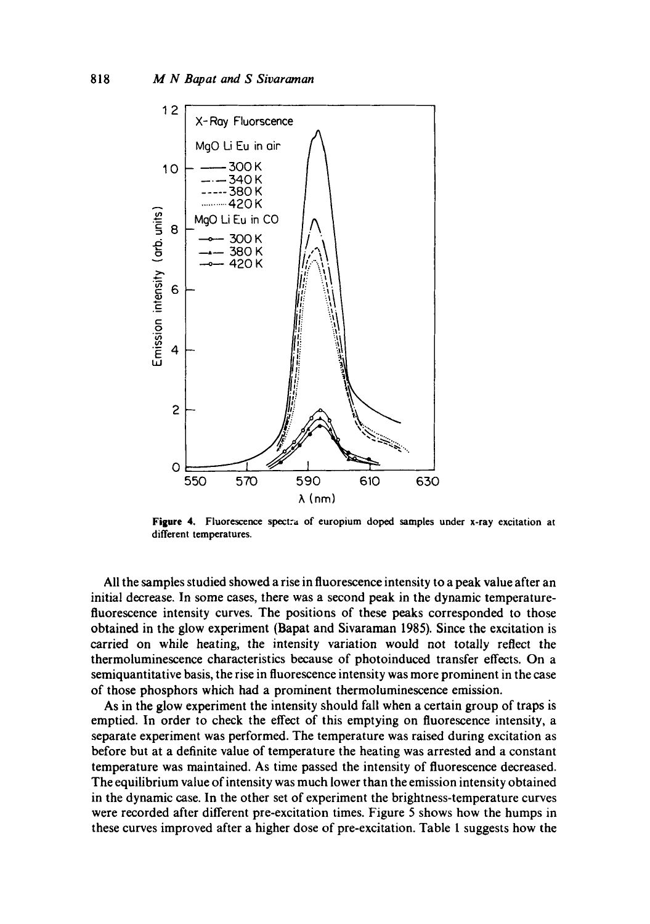

**Figure 4. Fluorescence** spectra of europium doped samples under x-ray excitation at different temperatures.

All the samples studied showed a rise in fluorescence intensity to a peak value after an initial decrease. In some cases, there was a second peak in the dynamic temperaturefluorescence intensity curves. The positions of these peaks corresponded to those obtained in the glow experiment (Bapat and Sivaraman 1985). Since the excitation is carried on while heating, the intensity variation would not totally reflect the thermoluminescence characteristics because of photoinduced transfer effects. On a semiquantitative basis, the rise in fluorescence intensity was more prominent in the case of those phosphors which had a prominent thermoluminescence emission.

As in the glow experiment the intensity should fall when a certain group of traps is emptied. In order to check the effect of this emptying on fluorescence intensity, a separate experiment was performed. The temperature was raised during excitation as before but at a definite value of temperature the heating was arrested and a constant temperature was maintained. As time passed the intensity of fluorescence decreased. The equilibrium value of intensity was much lower than the emission intensity obtained in the dynamic case. In the other set of experiment the brightness-temperature curves were recorded after different pre-excitation times. Figure 5 shows how the humps in these curves improved after a higher dose of pre-excitation. Table 1 suggests how the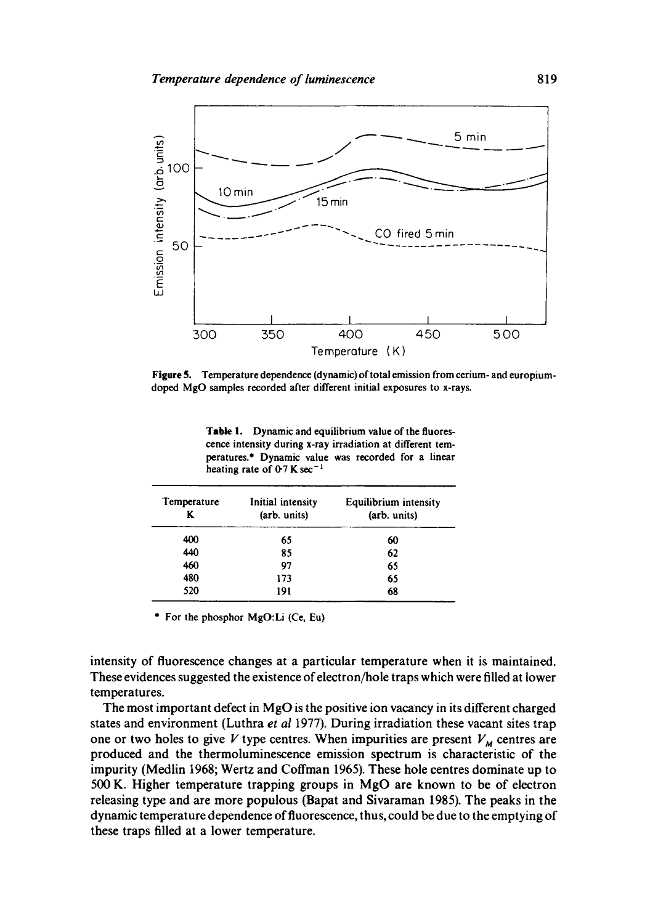

**Figure 5.** Temperature dependence (dynamic) of total emission from cerium- and europiumdoped MgO samples recorded after different initial exposures to x-rays.

**Table** 1. Dynamic and equilibrium value of the fluorescence intensity during x-ray irradiation at different temperatures.\* Dynamic value was recorded for a linear heating rate of  $0.7$  K sec<sup>-1</sup>

| Temperature<br>K | Initial intensity<br>(arb. units) | Equilibrium intensity<br>(arb. units) |
|------------------|-----------------------------------|---------------------------------------|
| 400              | 65                                | 60                                    |
| 440              | 85                                | 62                                    |
| 460              | 97                                | 65                                    |
| 480              | 173                               | 65                                    |
| 520              | 191                               | 68                                    |

\* For the phosphor MgO:Li (C¢, Eu)

intensity of fluorescence changes at a particular temperature when it is maintained. These evidences suggested the existence of electron/hole traps which were filled at lower temperatures.

The most important defect in MgO is the positive ion vacancy in its different charged states and environment (Luthra *et al* 1977). During irradiation these vacant sites trap one or two holes to give V type centres. When impurities are present  $V_M$  centres are produced and the thermoluminescence emission spectrum is characteristic of the impurity (Medlin 1968; Wertz and Coffman 1965). These hole centres dominate up to 500 K. Higher temperature trapping groups in MgO are known to be of electron releasing type and are more populous (Bapat and Sivaraman 1985). The peaks in the dynamic temperature dependence of fluorescence, thus, could be due to the emptying of these traps filled at a lower temperature.